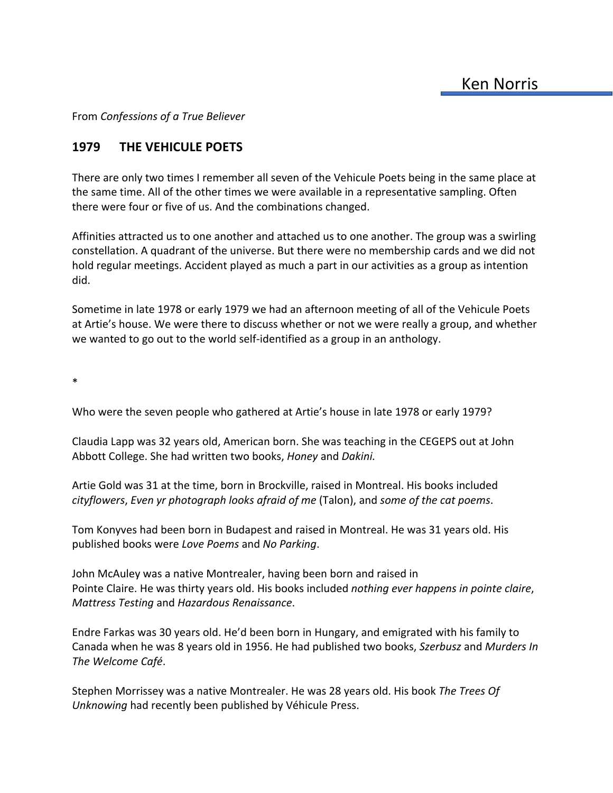From *Confessions of a True Believer*

## **1979 THE VEHICULE POETS**

There are only two times I remember all seven of the Vehicule Poets being in the same place at the same time. All of the other times we were available in a representative sampling. Often there were four or five of us. And the combinations changed.

Affinities attracted us to one another and attached us to one another. The group was a swirling constellation. A quadrant of the universe. But there were no membership cards and we did not hold regular meetings. Accident played as much a part in our activities as a group as intention did.

Sometime in late 1978 or early 1979 we had an afternoon meeting of all of the Vehicule Poets at Artie's house. We were there to discuss whether or not we were really a group, and whether we wanted to go out to the world self-identified as a group in an anthology.

\*

Who were the seven people who gathered at Artie's house in late 1978 or early 1979?

Claudia Lapp was 32 years old, American born. She was teaching in the CEGEPS out at John Abbott College. She had written two books, *Honey* and *Dakini.*

Artie Gold was 31 at the time, born in Brockville, raised in Montreal. His books included *cityflowers*, *Even yr photograph looks afraid of me* (Talon), and *some of the cat poems*.

Tom Konyves had been born in Budapest and raised in Montreal. He was 31 years old. His published books were *Love Poems* and *No Parking*.

John McAuley was a native Montrealer, having been born and raised in Pointe Claire. He was thirty years old. His books included *nothing ever happens in pointe claire*, *Mattress Testing* and *Hazardous Renaissance*.

Endre Farkas was 30 years old. He'd been born in Hungary, and emigrated with his family to Canada when he was 8 years old in 1956. He had published two books, *Szerbusz* and *Murders In The Welcome Café*.

Stephen Morrissey was a native Montrealer. He was 28 years old. His book *The Trees Of Unknowing* had recently been published by Véhicule Press.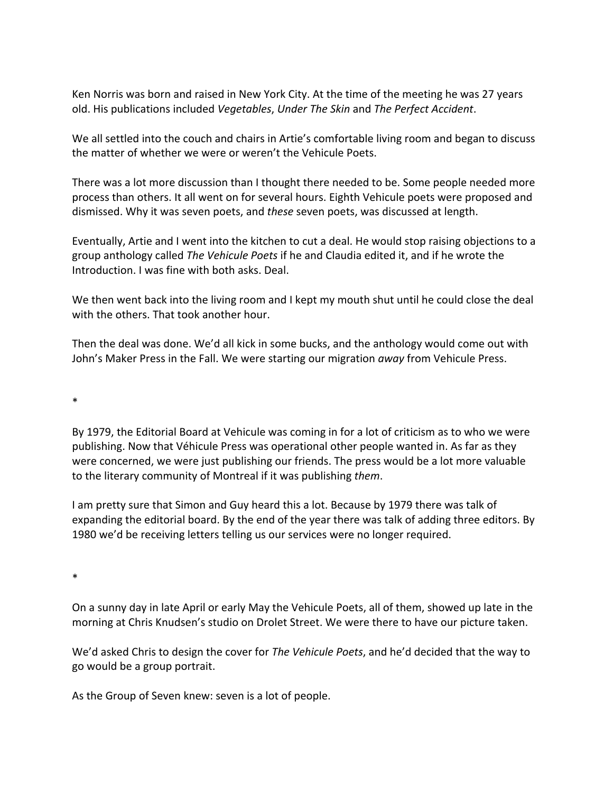Ken Norris was born and raised in New York City. At the time of the meeting he was 27 years old. His publications included *Vegetables*, *Under The Skin* and *The Perfect Accident*.

We all settled into the couch and chairs in Artie's comfortable living room and began to discuss the matter of whether we were or weren't the Vehicule Poets.

There was a lot more discussion than I thought there needed to be. Some people needed more process than others. It all went on for several hours. Eighth Vehicule poets were proposed and dismissed. Why it was seven poets, and *these* seven poets, was discussed at length.

Eventually, Artie and I went into the kitchen to cut a deal. He would stop raising objections to a group anthology called *The Vehicule Poets* if he and Claudia edited it, and if he wrote the Introduction. I was fine with both asks. Deal.

We then went back into the living room and I kept my mouth shut until he could close the deal with the others. That took another hour.

Then the deal was done. We'd all kick in some bucks, and the anthology would come out with John's Maker Press in the Fall. We were starting our migration *away* from Vehicule Press.

\*

By 1979, the Editorial Board at Vehicule was coming in for a lot of criticism as to who we were publishing. Now that Véhicule Press was operational other people wanted in. As far as they were concerned, we were just publishing our friends. The press would be a lot more valuable to the literary community of Montreal if it was publishing *them*.

I am pretty sure that Simon and Guy heard this a lot. Because by 1979 there was talk of expanding the editorial board. By the end of the year there was talk of adding three editors. By 1980 we'd be receiving letters telling us our services were no longer required.

\*

On a sunny day in late April or early May the Vehicule Poets, all of them, showed up late in the morning at Chris Knudsen's studio on Drolet Street. We were there to have our picture taken.

We'd asked Chris to design the cover for *The Vehicule Poets*, and he'd decided that the way to go would be a group portrait.

As the Group of Seven knew: seven is a lot of people.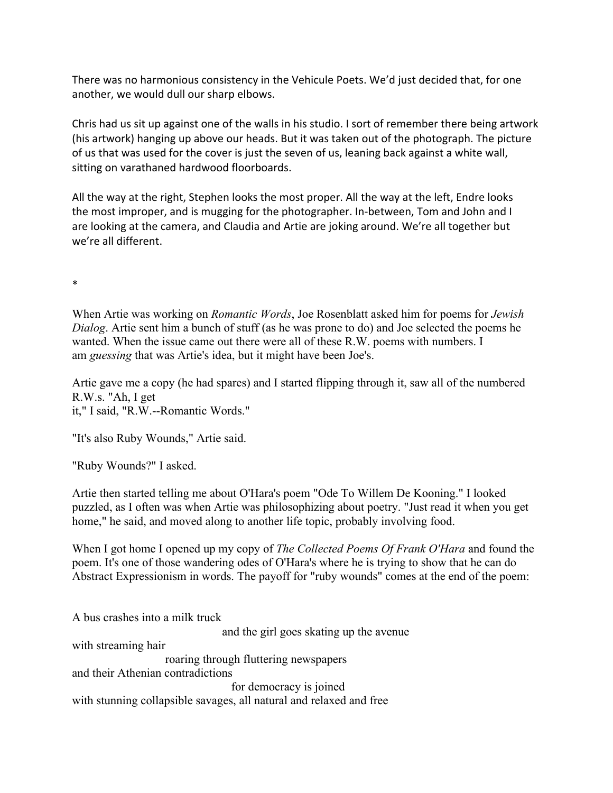There was no harmonious consistency in the Vehicule Poets. We'd just decided that, for one another, we would dull our sharp elbows.

Chris had us sit up against one of the walls in his studio. I sort of remember there being artwork (his artwork) hanging up above our heads. But it was taken out of the photograph. The picture of us that was used for the cover is just the seven of us, leaning back against a white wall, sitting on varathaned hardwood floorboards.

All the way at the right, Stephen looks the most proper. All the way at the left, Endre looks the most improper, and is mugging for the photographer. In-between, Tom and John and I are looking at the camera, and Claudia and Artie are joking around. We're all together but we're all different.

\*

When Artie was working on *Romantic Words*, Joe Rosenblatt asked him for poems for *Jewish Dialog*. Artie sent him a bunch of stuff (as he was prone to do) and Joe selected the poems he wanted. When the issue came out there were all of these R.W. poems with numbers. I am *guessing* that was Artie's idea, but it might have been Joe's.

Artie gave me a copy (he had spares) and I started flipping through it, saw all of the numbered R.W.s. "Ah, I get it," I said, "R.W.--Romantic Words."

"It's also Ruby Wounds," Artie said.

"Ruby Wounds?" I asked.

Artie then started telling me about O'Hara's poem "Ode To Willem De Kooning." I looked puzzled, as I often was when Artie was philosophizing about poetry. "Just read it when you get home," he said, and moved along to another life topic, probably involving food.

When I got home I opened up my copy of *The Collected Poems Of Frank O'Hara* and found the poem. It's one of those wandering odes of O'Hara's where he is trying to show that he can do Abstract Expressionism in words. The payoff for "ruby wounds" comes at the end of the poem:

A bus crashes into a milk truck and the girl goes skating up the avenue with streaming hair roaring through fluttering newspapers and their Athenian contradictions for democracy is joined with stunning collapsible savages, all natural and relaxed and free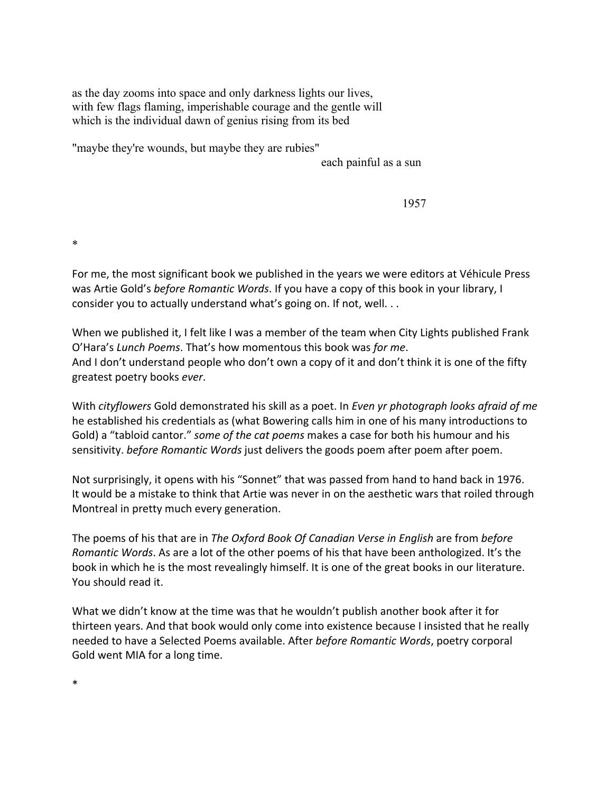as the day zooms into space and only darkness lights our lives, with few flags flaming, imperishable courage and the gentle will which is the individual dawn of genius rising from its bed

"maybe they're wounds, but maybe they are rubies"

each painful as a sun

1957

\*

For me, the most significant book we published in the years we were editors at Véhicule Press was Artie Gold's *before Romantic Words*. If you have a copy of this book in your library, I consider you to actually understand what's going on. If not, well. . .

When we published it, I felt like I was a member of the team when City Lights published Frank O'Hara's *Lunch Poems*. That's how momentous this book was *for me*. And I don't understand people who don't own a copy of it and don't think it is one of the fifty greatest poetry books *ever*.

With *cityflowers* Gold demonstrated his skill as a poet. In *Even yr photograph looks afraid of me* he established his credentials as (what Bowering calls him in one of his many introductions to Gold) a "tabloid cantor." *some of the cat poems* makes a case for both his humour and his sensitivity. *before Romantic Words* just delivers the goods poem after poem after poem.

Not surprisingly, it opens with his "Sonnet" that was passed from hand to hand back in 1976. It would be a mistake to think that Artie was never in on the aesthetic wars that roiled through Montreal in pretty much every generation.

The poems of his that are in *The Oxford Book Of Canadian Verse in English* are from *before Romantic Words*. As are a lot of the other poems of his that have been anthologized. It's the book in which he is the most revealingly himself. It is one of the great books in our literature. You should read it.

What we didn't know at the time was that he wouldn't publish another book after it for thirteen years. And that book would only come into existence because I insisted that he really needed to have a Selected Poems available. After *before Romantic Words*, poetry corporal Gold went MIA for a long time.

\*